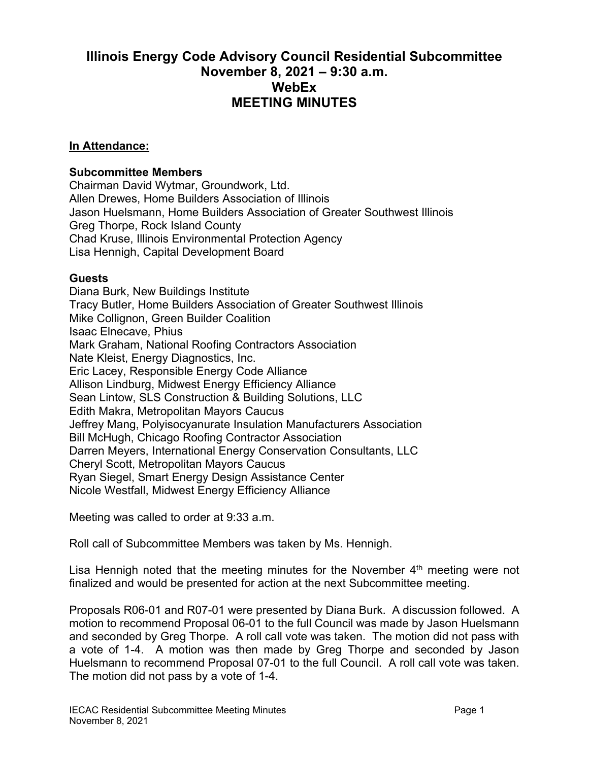## **Illinois Energy Code Advisory Council Residential Subcommittee November 8, 2021 – 9:30 a.m. WebEx MEETING MINUTES**

## **In Attendance:**

## **Subcommittee Members**

Chairman David Wytmar, Groundwork, Ltd. Allen Drewes, Home Builders Association of Illinois Jason Huelsmann, Home Builders Association of Greater Southwest Illinois Greg Thorpe, Rock Island County Chad Kruse, Illinois Environmental Protection Agency Lisa Hennigh, Capital Development Board

## **Guests**

Diana Burk, New Buildings Institute Tracy Butler, Home Builders Association of Greater Southwest Illinois Mike Collignon, Green Builder Coalition Isaac Elnecave, Phius Mark Graham, National Roofing Contractors Association Nate Kleist, Energy Diagnostics, Inc. Eric Lacey, Responsible Energy Code Alliance Allison Lindburg, Midwest Energy Efficiency Alliance Sean Lintow, SLS Construction & Building Solutions, LLC Edith Makra, Metropolitan Mayors Caucus Jeffrey Mang, Polyisocyanurate Insulation Manufacturers Association Bill McHugh, Chicago Roofing Contractor Association Darren Meyers, International Energy Conservation Consultants, LLC Cheryl Scott, Metropolitan Mayors Caucus Ryan Siegel, Smart Energy Design Assistance Center Nicole Westfall, Midwest Energy Efficiency Alliance

Meeting was called to order at 9:33 a.m.

Roll call of Subcommittee Members was taken by Ms. Hennigh.

Lisa Hennigh noted that the meeting minutes for the November  $4<sup>th</sup>$  meeting were not finalized and would be presented for action at the next Subcommittee meeting.

Proposals R06-01 and R07-01 were presented by Diana Burk. A discussion followed. A motion to recommend Proposal 06-01 to the full Council was made by Jason Huelsmann and seconded by Greg Thorpe. A roll call vote was taken. The motion did not pass with a vote of 1-4. A motion was then made by Greg Thorpe and seconded by Jason Huelsmann to recommend Proposal 07-01 to the full Council. A roll call vote was taken. The motion did not pass by a vote of 1-4.